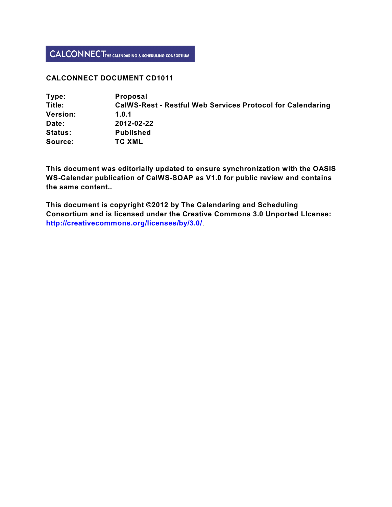### **CALCONNECT DOCUMENT CD1011**

| Type:           | <b>Proposal</b>                                                   |
|-----------------|-------------------------------------------------------------------|
| Title:          | <b>CalWS-Rest - Restful Web Services Protocol for Calendaring</b> |
| <b>Version:</b> | 1.0.1                                                             |
| Date:           | 2012-02-22                                                        |
| <b>Status:</b>  | <b>Published</b>                                                  |
| Source:         | <b>TC XML</b>                                                     |

**This document was editorially updated to ensure synchronization with the OASIS WS-Calendar publication of CalWS-SOAP as V1.0 for public review and contains the same content..**

**This document is copyright ©2012 by The Calendaring and Scheduling Consortium and is licensed under the Creative Commons 3.0 Unported LIcense: <http://creativecommons.org/licenses/by/3.0/>**.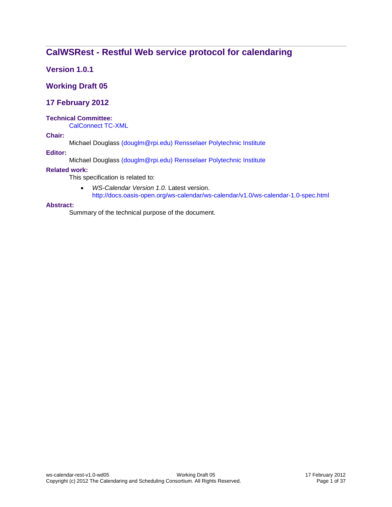# **CalWSRest - Restful Web service protocol for calendaring**

### **Version 1.0.1**

### **Working Draft 05**

### **17 February 2012**

#### **Technical Committee:**

[CalConnect](http://www.oasis-open.org/committees/ws-calendar/) TC-XML

#### **Chair:**

Michael Douglass [\(douglm@rpi.edu\)](mailto:douglm@rpi.edu) [Rensselaer Polytechnic Institute](http://www.rpi.edu/)

#### **Editor:**

Michael Douglass [\(douglm@rpi.edu\)](mailto:douglm@rpi.edu) [Rensselaer Polytechnic](http://www.rpi.edu/) Institute

#### **Related work:**

This specification is related to:

 *WS-Calendar Version 1.0*. Latest version. <http://docs.oasis-open.org/ws-calendar/ws-calendar/v1.0/ws-calendar-1.0-spec.html>

#### **Abstract:**

Summary of the technical purpose of the document.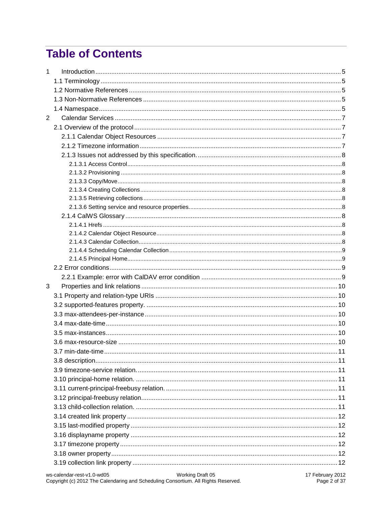# **Table of Contents**

| 1              |  |
|----------------|--|
|                |  |
|                |  |
|                |  |
|                |  |
| $\overline{2}$ |  |
|                |  |
|                |  |
|                |  |
|                |  |
|                |  |
|                |  |
|                |  |
|                |  |
|                |  |
|                |  |
|                |  |
|                |  |
|                |  |
|                |  |
|                |  |
|                |  |
|                |  |
|                |  |
| 3              |  |
|                |  |
|                |  |
|                |  |
|                |  |
|                |  |
|                |  |
|                |  |
|                |  |
|                |  |
|                |  |
|                |  |
|                |  |
|                |  |
|                |  |
|                |  |
|                |  |
|                |  |
|                |  |
|                |  |
|                |  |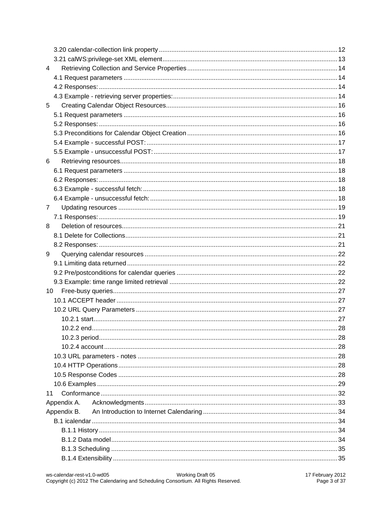| 4              |                 |  |
|----------------|-----------------|--|
|                |                 |  |
|                |                 |  |
|                |                 |  |
| 5              |                 |  |
|                |                 |  |
|                |                 |  |
|                |                 |  |
|                |                 |  |
|                |                 |  |
| 6              |                 |  |
|                |                 |  |
|                |                 |  |
|                |                 |  |
|                |                 |  |
| $\overline{7}$ |                 |  |
|                |                 |  |
| 8              |                 |  |
|                |                 |  |
|                |                 |  |
| 9              |                 |  |
|                |                 |  |
|                |                 |  |
|                |                 |  |
|                | 10 <sup>1</sup> |  |
|                |                 |  |
|                |                 |  |
|                |                 |  |
|                |                 |  |
|                |                 |  |
|                |                 |  |
|                |                 |  |
|                |                 |  |
|                |                 |  |
|                |                 |  |
| 11             |                 |  |
|                | Appendix A.     |  |
|                | Appendix B.     |  |
|                |                 |  |
|                |                 |  |
|                |                 |  |
|                |                 |  |
|                |                 |  |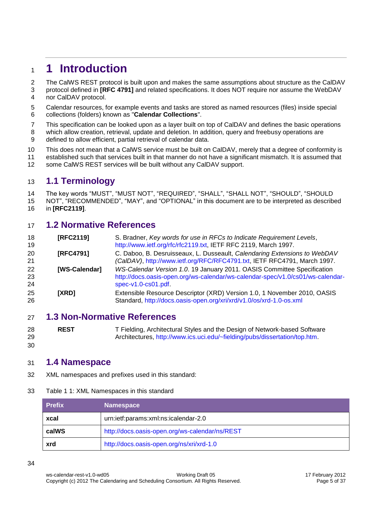# <span id="page-5-0"></span>**1 Introduction**

The CalWS REST protocol is built upon and makes the same assumptions about structure as the CalDAV

- protocol defined in **[RFC 4791]** and related specifications. It does NOT require nor assume the WebDAV nor CalDAV protocol.
- Calendar resources, for example events and tasks are stored as named resources (files) inside special collections (folders) known as "**Calendar Collections**".
- This specification can be looked upon as a layer built on top of CalDAV and defines the basic operations
- which allow creation, retrieval, update and deletion. In addition, query and freebusy operations are
- defined to allow efficient, partial retrieval of calendar data.
- This does not mean that a CalWS service must be built on CalDAV, merely that a degree of conformity is
- established such that services built in that manner do not have a significant mismatch. It is assumed that
- some CalWS REST services will be built without any CalDAV support.

## <span id="page-5-1"></span>**1.1 Terminology**

 The key words "MUST", "MUST NOT", "REQUIRED", "SHALL", "SHALL NOT", "SHOULD", "SHOULD NOT", "RECOMMENDED", "MAY", and "OPTIONAL" in this document are to be interpreted as described

in **[\[RFC2119\]](#page-5-5)**.

### <span id="page-5-2"></span>**1.2 Normative References**

<span id="page-5-5"></span>

| 18<br>19       | [RFC2119]     | S. Bradner, Key words for use in RFCs to Indicate Requirement Levels,<br>http://www.ietf.org/rfc/rfc2119.txt, IETF RFC 2119, March 1997.                                            |
|----------------|---------------|-------------------------------------------------------------------------------------------------------------------------------------------------------------------------------------|
| 20<br>21       | [RFC4791]     | C. Daboo, B. Desruisseaux, L. Dusseault, Calendaring Extensions to WebDAV<br>(CalDAV), http://www.ietf.org/RFC/RFC4791.txt, IETF RFC4791, March 1997.                               |
| 22<br>23<br>24 | [WS-Calendar] | WS-Calendar Version 1.0. 19 January 2011. OASIS Committee Specification<br>http://docs.oasis-open.org/ws-calendar/ws-calendar-spec/v1.0/cs01/ws-calendar-<br>$spec-v1.0-cs01.pdf$ . |
| 25<br>26       | <b>IXRDI</b>  | Extensible Resource Descriptor (XRD) Version 1.0, 1 November 2010, OASIS<br>Standard, http://docs.oasis-open.org/xri/xrd/v1.0/os/xrd-1.0-os.xml                                     |

### <span id="page-5-3"></span>**1.3 Non-Normative References**

- **REST** T Fielding, Architectural Styles and the Design of Network-based Software Architectures, [http://www.ics.uci.edu/~fielding/pubs/dissertation/top.htm.](http://www.ics.uci.edu/~fielding/pubs/dissertation/top.htm)
- 

## <span id="page-5-4"></span>**1.4 Namespace**

- XML namespaces and prefixes used in this standard:
- Table 1 1: XML Namespaces in this standard

| <b>Prefix</b> | <b>Namespace</b>                               |  |
|---------------|------------------------------------------------|--|
| xcal          | urn:ietf:params:xml:ns:icalendar-2.0           |  |
| calWS         | http://docs.oasis-open.org/ws-calendar/ns/REST |  |
| xrd           | http://docs.oasis-open.org/ns/xri/xrd-1.0      |  |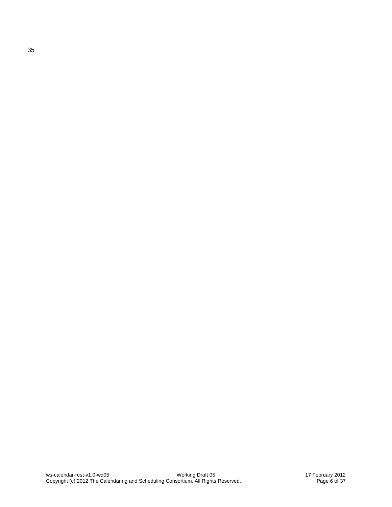35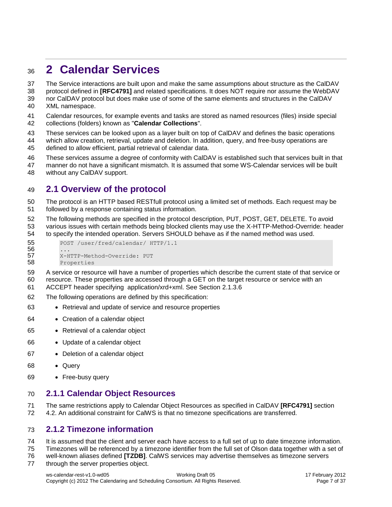# <span id="page-7-0"></span>**2 Calendar Services**

- The Service interactions are built upon and make the same assumptions about structure as the CalDAV
- protocol defined in **[RFC4791]** and related specifications. It does NOT require nor assume the WebDAV
- nor CalDAV protocol but does make use of some of the same elements and structures in the CalDAV XML namespace.
- Calendar resources, for example events and tasks are stored as named resources (files) inside special collections (folders) known as "**Calendar Collections**".
- These services can be looked upon as a layer built on top of CalDAV and defines the basic operations which allow creation, retrieval, update and deletion. In addition, query, and free-busy operations are defined to allow efficient, partial retrieval of calendar data.
- These services assume a degree of conformity with CalDAV is established such that services built in that
- manner do not have a significant mismatch. It is assumed that some WS-Calendar services will be built without any CalDAV support.

## <span id="page-7-1"></span>**2.1 Overview of the protocol**

- The protocol is an HTTP based RESTfull protocol using a limited set of methods. Each request may be followed by a response containing status information.
- The following methods are specified in the protocol description, PUT, POST, GET, DELETE. To avoid various issues with certain methods being blocked clients may use the X-HTTP-Method-Override: header to specify the intended operation. Servers SHOULD behave as if the named method was used.

```
55 POST /user/fred/calendar/ HTTP/1.1
56
57 X-HTTP-Method-Override: PUT
58 Properties
```
- A service or resource will have a number of properties which describe the current state of that service or resource. These properties are accessed through a GET on the target resource or service with an
- ACCEPT header specifying application/xrd+xml. See Section [2.1.3.6](#page-8-6)
- The following operations are defined by this specification:
- Retrieval and update of service and resource properties
- Creation of a calendar object
- Retrieval of a calendar object
- Update of a calendar object
- Deletion of a calendar object
- Query
- Free-busy query

### <span id="page-7-2"></span>**2.1.1 Calendar Object Resources**

 The same restrictions apply to Calendar Object Resources as specified in CalDAV **[RFC4791]** section 4.2. An additional constraint for CalWS is that no timezone specifications are transferred.

### <span id="page-7-3"></span>**2.1.2 Timezone information**

- It is assumed that the client and server each have access to a full set of up to date timezone information.
- Timezones will be referenced by a timezone identifier from the full set of Olson data together with a set of
- well-known aliases defined **[TZDB]**. CalWS services may advertise themselves as timezone servers
- 77 through the server properties object.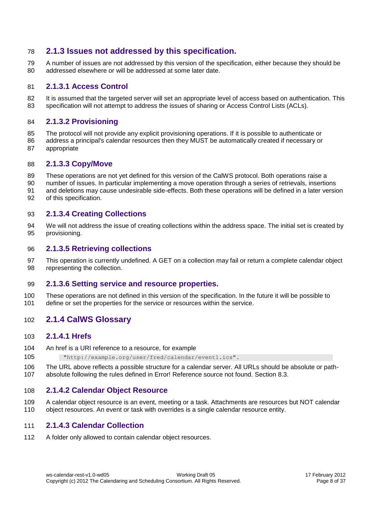### <span id="page-8-0"></span>**2.1.3 Issues not addressed by this specification.**

 A number of issues are not addressed by this version of the specification, either because they should be addressed elsewhere or will be addressed at some later date.

### <span id="page-8-1"></span>**2.1.3.1 Access Control**

82 It is assumed that the targeted server will set an appropriate level of access based on authentication. This specification will not attempt to address the issues of sharing or Access Control Lists (ACLs).

### <span id="page-8-2"></span>**2.1.3.2 Provisioning**

- The protocol will not provide any explicit provisioning operations. If it is possible to authenticate or
- address a principal's calendar resources then they MUST be automatically created if necessary or appropriate

### <span id="page-8-3"></span>**2.1.3.3 Copy/Move**

- These operations are not yet defined for this version of the CalWS protocol. Both operations raise a
- number of issues. In particular implementing a move operation through a series of retrievals, insertions
- and deletions may cause undesirable side-effects. Both these operations will be defined in a later version
- of this specification.

### <span id="page-8-4"></span>**2.1.3.4 Creating Collections**

 We will not address the issue of creating collections within the address space. The initial set is created by provisioning.

### <span id="page-8-5"></span>**2.1.3.5 Retrieving collections**

 This operation is currently undefined. A GET on a collection may fail or return a complete calendar object representing the collection.

### <span id="page-8-6"></span>**2.1.3.6 Setting service and resource properties.**

 These operations are not defined in this version of the specification. In the future it will be possible to define or set the properties for the service or resources within the service.

### <span id="page-8-7"></span>**2.1.4 CalWS Glossary**

### <span id="page-8-8"></span>**2.1.4.1 Hrefs**

- An href is a URI reference to a resource, for example
- "http://example.org/user/fred/calendar/event1.ics".
- The URL above reflects a possible structure for a calendar server. All URLs should be absolute or path-absolute following the rules defined in Error! Reference source not found. Section 8.3.

### <span id="page-8-9"></span>**2.1.4.2 Calendar Object Resource**

 A calendar object resource is an event, meeting or a task. Attachments are resources but NOT calendar object resources. An event or task with overrides is a single calendar resource entity.

### <span id="page-8-10"></span>**2.1.4.3 Calendar Collection**

A folder only allowed to contain calendar object resources.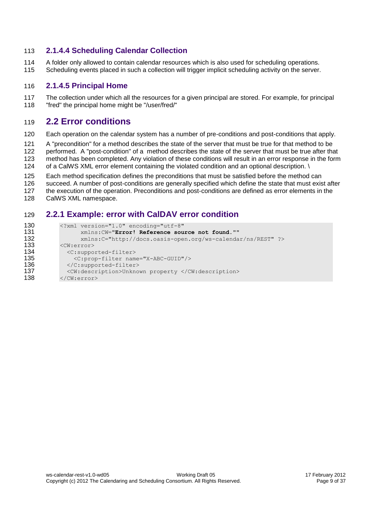### <span id="page-9-0"></span>**2.1.4.4 Scheduling Calendar Collection**

- A folder only allowed to contain calendar resources which is also used for scheduling operations.
- Scheduling events placed in such a collection will trigger implicit scheduling activity on the server.

#### <span id="page-9-1"></span>**2.1.4.5 Principal Home**

 The collection under which all the resources for a given principal are stored. For example, for principal "fred" the principal home might be "/user/fred/"

### <span id="page-9-2"></span>**2.2 Error conditions**

- Each operation on the calendar system has a number of pre-conditions and post-conditions that apply.
- A "precondition" for a method describes the state of the server that must be true for that method to be
- performed. A "post-condition" of a method describes the state of the server that must be true after that
- method has been completed. Any violation of these conditions will result in an error response in the form
- 124 of a CalWS XML error element containing the violated condition and an optional description. \
- Each method specification defines the preconditions that must be satisfied before the method can
- succeed. A number of post-conditions are generally specified which define the state that must exist after
- the execution of the operation. Preconditions and post-conditions are defined as error elements in the
- CalWS XML namespace.

## <span id="page-9-3"></span>**2.2.1 Example: error with CalDAV error condition**

```
130 <?xml version="1.0" encoding="utf-8"<br>131 xmlns:CW="Error! Reference sou
131 xmlns:CW="Error! Reference source not found.""
132 xmlns:C="http://docs.oasis-open.org/ws-calendar/ns/REST" ?><br>133 <CW:error>
          <CW:error>
134 <c:supported-filter>
135 <C:prop-filter name="X-ABC-GUID"/>
136 </C:supported-filter>
137 <CW:description>Unknown property </CW:description><br>138 </CW:error>
          </CW:error>
```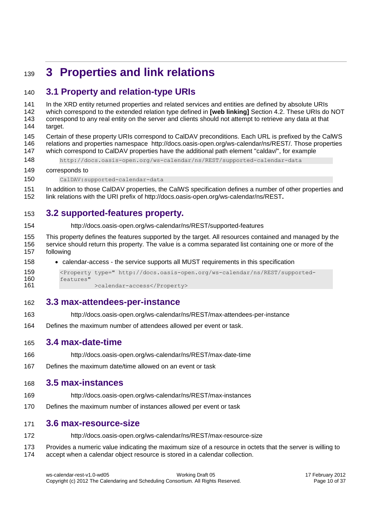# <span id="page-10-0"></span>**3 Properties and link relations**

# <span id="page-10-1"></span>**3.1 Property and relation-type URIs**

 In the XRD entity returned properties and related services and entities are defined by absolute URIs which correspond to the extended relation type defined in **[web linking]** Section 4.2. These URIs do NOT correspond to any real entity on the server and clients should not attempt to retrieve any data at that target. Certain of these property URIs correspond to CalDAV preconditions. Each URL is prefixed by the CalWS relations and properties namespace http://docs.oasis-open.org/ws-calendar/ns/REST/. Those properties which correspond to CalDAV properties have the additional path element "caldav/", for example http://docs.oasis-open.org/ws-calendar/ns/REST/supported-calendar-data corresponds to CalDAV:supported-calendar-data

 In addition to those CalDAV properties, the CalWS specification defines a number of other properties and link relations with the URI prefix of http://docs.oasis-open.org/ws-calendar/ns/REST**.**

# <span id="page-10-2"></span>**3.2 supported-features property.**

- http://docs.oasis-open.org/ws-calendar/ns/REST/supported-features
- This property defines the features supported by the target. All resources contained and managed by the service should return this property. The value is a comma separated list containing one or more of the following
- calendar-access the service supports all MUST requirements in this specification

```
159 <Property type=" http://docs.oasis-open.org/ws-calendar/ns/REST/supported-
160 features"
161 >calendar-access</Property>
```
# <span id="page-10-3"></span>**3.3 max-attendees-per-instance**

- http://docs.oasis-open.org/ws-calendar/ns/REST/max-attendees-per-instance
- Defines the maximum number of attendees allowed per event or task.

# <span id="page-10-4"></span>**3.4 max-date-time**

- http://docs.oasis-open.org/ws-calendar/ns/REST/max-date-time
- Defines the maximum date/time allowed on an event or task

# <span id="page-10-5"></span>**3.5 max-instances**

- http://docs.oasis-open.org/ws-calendar/ns/REST/max-instances
- Defines the maximum number of instances allowed per event or task

# <span id="page-10-6"></span>**3.6 max-resource-size**

- http://docs.oasis-open.org/ws-calendar/ns/REST/max-resource-size
- Provides a numeric value indicating the maximum size of a resource in octets that the server is willing to accept when a calendar object resource is stored in a calendar collection.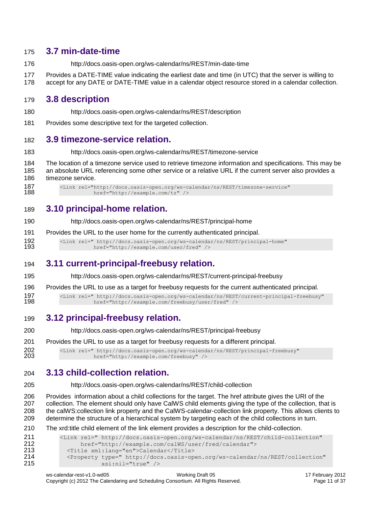## <span id="page-11-0"></span>**3.7 min-date-time**

- http://docs.oasis-open.org/ws-calendar/ns/REST/min-date-time
- Provides a DATE-TIME value indicating the earliest date and time (in UTC) that the server is willing to
- accept for any DATE or DATE-TIME value in a calendar object resource stored in a calendar collection.

## <span id="page-11-1"></span>**3.8 description**

- http://docs.oasis-open.org/ws-calendar/ns/REST/description
- Provides some descriptive text for the targeted collection.

## <span id="page-11-2"></span>**3.9 timezone-service relation.**

- http://docs.oasis-open.org/ws-calendar/ns/REST/timezone-service
- The location of a timezone service used to retrieve timezone information and specifications. This may be an absolute URL referencing some other service or a relative URL if the current server also provides a timezone service.

187 <Link rel="http://docs.oasis-open.org/ws-calendar/ns/REST/timezone-service"<br>188 href="http://example.com/tz" /> href="http://example.com/tz" />

## <span id="page-11-3"></span>**3.10 principal-home relation.**

- http://docs.oasis-open.org/ws-calendar/ns/REST/principal-home
- Provides the URL to the user home for the currently authenticated principal.

192 <Link rel=" http://docs.oasis-open.org/ws-calendar/ns/REST/principal-home"<br>193 href="http://example.com/user/fred" /> href="http://example.com/user/fred" />

# <span id="page-11-4"></span>**3.11 current-principal-freebusy relation.**

- http://docs.oasis-open.org/ws-calendar/ns/REST/current-principal-freebusy
- Provides the URL to use as a target for freebusy requests for the current authenticated principal.
- <Link rel=" http://docs.oasis-open.org/ws-calendar/ns/REST/current-principal-freebusy" href="http://example.com/freebusy/user/fred" />
- <span id="page-11-5"></span>**3.12 principal-freebusy relation.**
- http://docs.oasis-open.org/ws-calendar/ns/REST/principal-freebusy
- Provides the URL to use as a target for freebusy requests for a different principal.

202 <Link rel=" http://docs.oasis-open.org/ws-calendar/ns/REST/principal-freebusy" href="http://example.com/freebusy" /> href="http://example.com/freebusy" />

# <span id="page-11-6"></span>**3.13 child-collection relation.**

http://docs.oasis-open.org/ws-calendar/ns/REST/child-collection

 Provides information about a child collections for the target. The href attribute gives the URI of the collection. The element should only have CalWS child elements giving the type of the collection, that is the calWS:collection link property and the CalWS-calendar-collection link property. This allows clients to determine the structure of a hierarchical system by targeting each of the child collections in turn.

#### The xrd:title child element of the link element provides a description for the child-collection.

```
211 <Link rel=" http://docs.oasis-open.org/ws-calendar/ns/REST/child-collection" 
212 href="http://example.com/calWS/user/fred/calendar"><br>213 < Title xml:lang="en">Calendar</Title>
              <Title xml:lang="en">Calendar</Title>
214 <Property type=" http://docs.oasis-open.org/ws-calendar/ns/REST/collection"<br>215 xi asi:nil="true" />
                          215 xsi:nil="true" />
```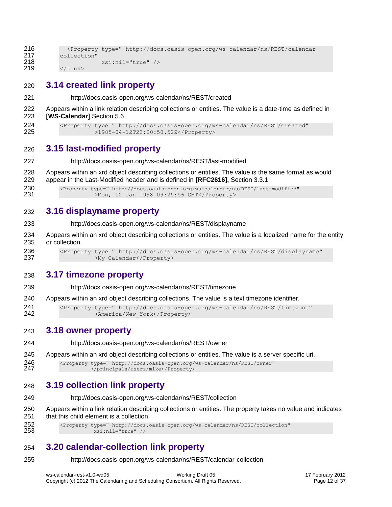```
216 <Property type=" http://docs.oasis-open.org/ws-calendar/ns/REST/calendar-
217 collection"<br>218
218 \timesxsi:nil="true" /><br>219 \times/Link>
           \langle/Link>
```
## <span id="page-12-0"></span>**3.14 created link property**

- http://docs.oasis-open.org/ws-calendar/ns/REST/created
- Appears within a link relation describing collections or entities. The value is a date-time as defined in **[WS-Calendar]** Section 5.6

```
224 <Property type=" http://docs.oasis-open.org/ws-calendar/ns/REST/created"
225 >1985-04-12T23:20:50.52Z</Property>
```
## <span id="page-12-1"></span>**3.15 last-modified property**

- http://docs.oasis-open.org/ws-calendar/ns/REST/last-modified
- Appears within an xrd object describing collections or entities. The value is the same format as would appear in the Last-Modified header and is defined in **[RFC2616],** Section 3.3.1
- 230 <Property type=" http://docs.oasis-open.org/ws-calendar/ns/REST/last-modified"<br>231 > Mon. 12 Jan 1998 09:25:56 GMT</Property> >Mon, 12 Jan 1998 09:25:56 GMT</Property>

### <span id="page-12-2"></span>**3.16 displayname property**

- http://docs.oasis-open.org/ws-calendar/ns/REST/displayname
- Appears within an xrd object describing collections or entities. The value is a localized name for the entity or collection.
- 236 <Property type=" http://docs.oasis-open.org/ws-calendar/ns/REST/displayname"<br>237 > > > > > > Calendar</Property> >My Calendar</Property>

### <span id="page-12-3"></span>**3.17 timezone property**

- http://docs.oasis-open.org/ws-calendar/ns/REST/timezone
- Appears within an xrd object describing collections. The value is a text timezone identifier.

 <Property type=" http://docs.oasis-open.org/ws-calendar/ns/REST/timezone" 242 >America/New York</Property>

### <span id="page-12-4"></span>**3.18 owner property**

- http://docs.oasis-open.org/ws-calendar/ns/REST/owner
- Appears within an xrd object describing collections or entities. The value is a server specific uri.

246 <Property type=" http://docs.oasis-open.org/ws-calendar/ns/REST/owner"<br>247 >/principals/users/mike</Property> >/principals/users/mike</Property>

# <span id="page-12-5"></span>**3.19 collection link property**

- http://docs.oasis-open.org/ws-calendar/ns/REST/collection
- Appears within a link relation describing collections or entities. The property takes no value and indicates 251 that this child element is a collection.

 <Property type=" http://docs.oasis-open.org/ws-calendar/ns/REST/collection" xsi:nil="true" />

# <span id="page-12-6"></span>**3.20 calendar-collection link property**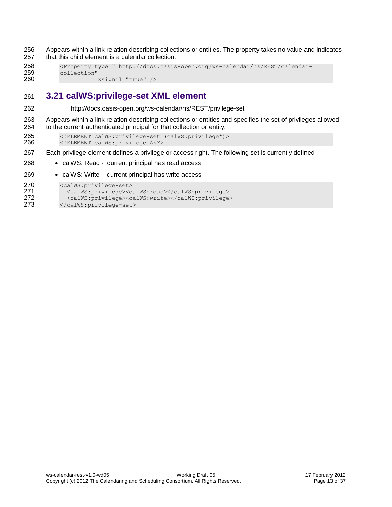256 Appears within a link relation describing collections or entities. The property takes no value and indicates 257 that this child element is a calendar collection.

```
258 <Property type=" http://docs.oasis-open.org/ws-calendar/ns/REST/calendar-
259 collection"<br>260
                     260 xsi:nil="true" />
```
## <span id="page-13-0"></span>261 **3.21 calWS:privilege-set XML element**

262 http://docs.oasis-open.org/ws-calendar/ns/REST/privilege-set

263 Appears within a link relation describing collections or entities and specifies the set of privileges allowed 264 to the current authenticated principal for that collection or entity.

265 <!ELEMENT calWS:privilege-set (calWS:privilege\*)><br>266 </r>>>>>>>>>>>> 266 <!ELEMENT calWS:privilege ANY>

267 Each privilege element defines a privilege or access right. The following set is currently defined

268 • calWS: Read - current principal has read access

269 • calWS: Write - current principal has write access

```
270 <calWS:privilege-set><br>271 <calWS:privilege><ca
271 <calWS:privilege><calWS:read></calWS:privilege><br>272 <calWS:privilege><calWS:write></calWS:privilege>
272 <calWS:privilege><calWS:write></calWS:privilege><br>273 </calWS:privilege-set>
               </calWS:privilege-set>
```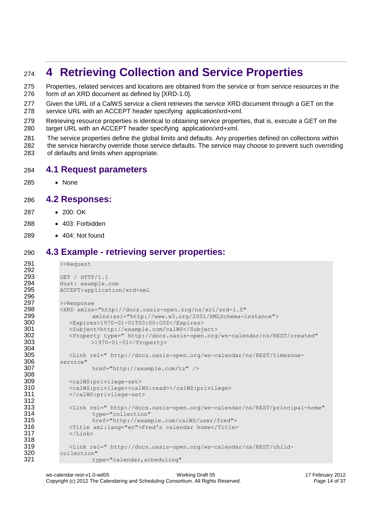# <span id="page-14-0"></span>**4 Retrieving Collection and Service Properties**

 Properties, related services and locations are obtained from the service or from service resources in the form of an XRD document as defined by [XRD-1.0].

 Given the URL of a CalWS service a client retrieves the service XRD document through a GET on the service URL with an ACCEPT header specifying application/xrd+xml.

 Retrieving resource properties is identical to obtaining service properties, that is, execute a GET on the 280 target URL with an ACCEPT header specifying application/xrd+xml.

 The service properties define the global limits and defaults. Any properties defined on collections within the service hierarchy override those service defaults. The service may choose to prevent such overriding of defaults and limits when appropriate.

### <span id="page-14-1"></span>**4.1 Request parameters**

None

### <span id="page-14-2"></span>**4.2 Responses:**

- 200: OK
- 403: Forbidden
- 404: Not found

### <span id="page-14-3"></span>**4.3 Example - retrieving server properties:**

```
291 >>Request
292
293 GET / HTTP/1.1<br>294 Host: example.
          294 Host: example.com
295 ACCEPT:application/xrd+xml
296<br>297
297 >>Response<br>298 <XRD xmlns
298 <XRD xmlns="http://docs.oasis-open.org/ns/xri/xrd-1.0"
                   299 xmlns:xsi="http://www.w3.org/2001/XMLSchema-instance">
300 <Expires>1970-01-01T00:00:00Z</Expires>
301 <Subject>http://example.com/calWS</Subject><br>302 <Property type=" http://docs.oasis-open.org
302 <Property type=" http://docs.oasis-open.org/ws-calendar/ns/REST/created"
                   303 >1970-01-01</Property>
304<br>305
             305 <Link rel=" http://docs.oasis-open.org/ws-calendar/ns/REST/timezone-
306 service"
307 href="http://example.com/tz" />
308
309 <calWS:privilege-set><br>310 <calWS:privilege><cal
             310 <calWS:privilege><calWS:read></calWS:privilege>
311 </calWS:privilege-set>
312
313 <Link rel=" http://docs.oasis-open.org/ws-calendar/ns/REST/principal-home" 
314 type="collection"
315 href="http://example.com/calWS/user/fred">
316 <Title xml:lang="en">Fred's calendar home</Title>
317 \langle/Link>
318<br>319
             319 <Link rel=" http://docs.oasis-open.org/ws-calendar/ns/REST/child-
320 collection" 
321 type="calendar, scheduling"
```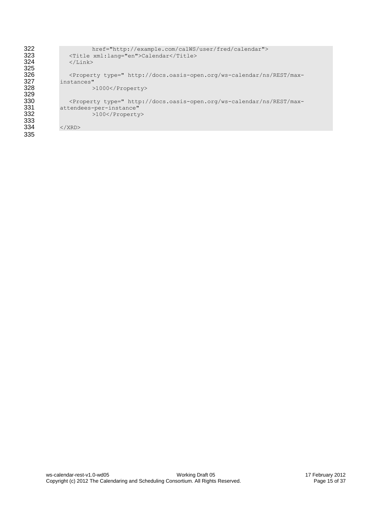| 322 | href="http://example.com/calWS/user/fred/calendar">                                                                                                                                  |  |
|-----|--------------------------------------------------------------------------------------------------------------------------------------------------------------------------------------|--|
| 323 | <title xml:lang="en">Calendar</title>                                                                                                                                                |  |
| 324 | $\langle$ /Link>                                                                                                                                                                     |  |
| 325 |                                                                                                                                                                                      |  |
| 326 | <property <="" th="" type=" http://docs.oasis-open.org/ws-calendar/ns/REST/max-&lt;/th&gt;&lt;/tr&gt;&lt;tr&gt;&lt;th&gt;327&lt;/th&gt;&lt;th&gt;instances"></property>              |  |
| 328 | $>1000$                                                                                                                                                                              |  |
| 329 |                                                                                                                                                                                      |  |
| 330 | <property <="" th="" type=" http://docs.oasis-open.org/ws-calendar/ns/REST/max-&lt;/th&gt;&lt;/tr&gt;&lt;tr&gt;&lt;th&gt;331&lt;/th&gt;&lt;th&gt;attendees-per-instance"></property> |  |
| 332 | >100                                                                                                                                                                                 |  |
| 333 |                                                                                                                                                                                      |  |
| 334 | $\langle$ /XRD $\rangle$                                                                                                                                                             |  |
| 335 |                                                                                                                                                                                      |  |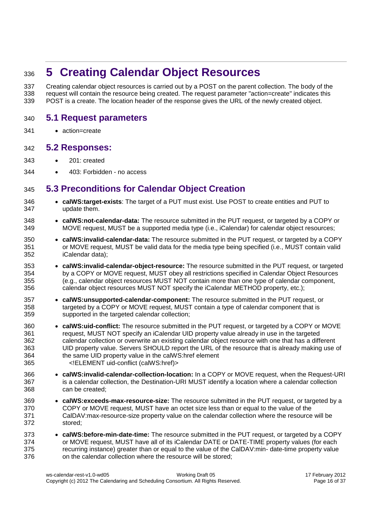# <span id="page-16-0"></span>**5 Creating Calendar Object Resources**

 Creating calendar object resources is carried out by a POST on the parent collection. The body of the request will contain the resource being created. The request parameter "action=create" indicates this POST is a create. The location header of the response gives the URL of the newly created object.

### <span id="page-16-1"></span>**5.1 Request parameters**

341 • action=create

### <span id="page-16-2"></span>**5.2 Responses:**

- 201: created
- 344 403: Forbidden no access

## <span id="page-16-3"></span>**5.3 Preconditions for Calendar Object Creation**

- **calWS:target-exists**: The target of a PUT must exist. Use POST to create entities and PUT to update them.
- **calWS:not-calendar-data:** The resource submitted in the PUT request, or targeted by a COPY or MOVE request, MUST be a supported media type (i.e., iCalendar) for calendar object resources;
- **calWS:invalid-calendar-data:** The resource submitted in the PUT request, or targeted by a COPY or MOVE request, MUST be valid data for the media type being specified (i.e., MUST contain valid iCalendar data);
- **calWS:invalid-calendar-object-resource:** The resource submitted in the PUT request, or targeted by a COPY or MOVE request, MUST obey all restrictions specified in Calendar Object Resources (e.g., calendar object resources MUST NOT contain more than one type of calendar component, calendar object resources MUST NOT specify the iCalendar METHOD property, etc.);
- **calWS:unsupported-calendar-component:** The resource submitted in the PUT request, or targeted by a COPY or MOVE request, MUST contain a type of calendar component that is supported in the targeted calendar collection;
- **calWS:uid-conflict:** The resource submitted in the PUT request, or targeted by a COPY or MOVE request, MUST NOT specify an iCalendar UID property value already in use in the targeted calendar collection or overwrite an existing calendar object resource with one that has a different UID property value. Servers SHOULD report the URL of the resource that is already making use of the same UID property value in the calWS:href element <!ELEMENT uid-conflict (calWS:href)>
- **calWS:invalid-calendar-collection-location:** In a COPY or MOVE request, when the Request-URI is a calendar collection, the Destination-URI MUST identify a location where a calendar collection can be created;
- **calWS:exceeds-max-resource-size:** The resource submitted in the PUT request, or targeted by a COPY or MOVE request, MUST have an octet size less than or equal to the value of the CalDAV:max-resource-size property value on the calendar collection where the resource will be stored;
- **calWS:before-min-date-time:** The resource submitted in the PUT request, or targeted by a COPY or MOVE request, MUST have all of its iCalendar DATE or DATE-TIME property values (for each recurring instance) greater than or equal to the value of the CalDAV:min- date-time property value on the calendar collection where the resource will be stored;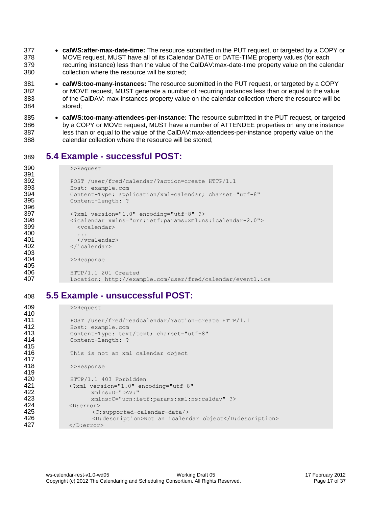- **calWS:after-max-date-time:** The resource submitted in the PUT request, or targeted by a COPY or MOVE request, MUST have all of its iCalendar DATE or DATE-TIME property values (for each recurring instance) less than the value of the CalDAV:max-date-time property value on the calendar collection where the resource will be stored;
- **calWS:too-many-instances:** The resource submitted in the PUT request, or targeted by a COPY or MOVE request, MUST generate a number of recurring instances less than or equal to the value of the CalDAV: max-instances property value on the calendar collection where the resource will be stored;
- **calWS:too-many-attendees-per-instance:** The resource submitted in the PUT request, or targeted by a COPY or MOVE request, MUST have a number of ATTENDEE properties on any one instance less than or equal to the value of the CalDAV:max-attendees-per-instance property value on the calendar collection where the resource will be stored;

## <span id="page-17-0"></span>**5.4 Example - successful POST:**

```
390 >>Request
391<br>392
392 POST /user/fred/calendar/?action=create HTTP/1.1<br>393 Host: example.com
              393 Host: example.com
394 Content-Type: application/xml+calendar; charset="utf-8"<br>395 Content-Length: ?
              Content-Length: ?
396
397 <?xml version="1.0" encoding="utf-8" ?>
398 <icalendar xmlns="urn:ietf:params:xml:ns:icalendar-2.0">
                399 <vcalendar>
400 ...
401 </vcalendar><br>402 </icalendar>
              402 </icalendar>
403
404 >>Response
405
406 HTTP/1.1 201 Created<br>407 Location: http://exam
              407 Location: http://example.com/user/fred/calendar/event1.ics
```
# <span id="page-17-1"></span>**5.5 Example - unsuccessful POST:**

```
409 >>Request
410
411 POST /user/fred/readcalendar/?action=create HTTP/1.1<br>412 Host: example.com
             412 Host: example.com
413 Content-Type: text/text; charset="utf-8"<br>414 Content-Length: ?
             Content-Length: ?
415
416 This is not an xml calendar object
417
418 >>Response
419
420 HTTP/1.1 403 Forbidden
421 <?xml version="1.0" encoding="utf-8"<br>422 xmlns:D="DAV:"
                   422 xmlns:D="DAV:"
423 xmlns:C="urn:ietf:params:xml:ns:caldav" ?>
424 <D:error>
425 <c:supported-calendar-data/>
426 <br />
<D:description>Not an icalendar object</D:description><br>
427 </D:error>
            </D:error>
```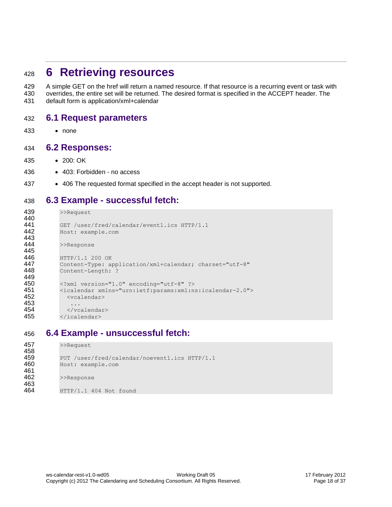# <span id="page-18-0"></span><sup>428</sup> **6 Retrieving resources**

429 A simple GET on the href will return a named resource. If that resource is a recurring event or task with 430 overrides, the entire set will be returned. The desired format is specified in the ACCEPT header. The 431 default form is application/xml+calendar

### <span id="page-18-1"></span>432 **6.1 Request parameters**

433 none

### <span id="page-18-2"></span>434 **6.2 Responses:**

- 435 200: OK
- 436 403: Forbidden no access
- 437 **406** The requested format specified in the accept header is not supported.

## <span id="page-18-3"></span>438 **6.3 Example - successful fetch:**

```
439 >>Request
440<br>441
441 GET /user/fred/calendar/event1.ics HTTP/1.1<br>442 Host: example.com
             442 Host: example.com
443
444 >>Response
445<br>446
446 HTTP/1.1 200 OK<br>447 Content-Type: ap
447 Content-Type: application/xml+calendar; charset="utf-8"<br>448 Content-Length: ?
            Content-Length: ?
449<br>450
             450 <?xml version="1.0" encoding="utf-8" ?>
451 <icalendar xmlns="urn:ietf:params:xml:ns:icalendar-2.0">
               452 <vcalendar>
453<br>454
454 </vcalendar><br>455 </icalendar>
             455 </icalendar>
```
### <span id="page-18-4"></span>456 **6.4 Example - unsuccessful fetch:**

```
457 >>Request
458
459 PUT /user/fred/calendar/noevent1.ics HTTP/1.1<br>460 Host: example.com
             460 Host: example.com
461<br>462
             >>Response
463<br>464
            464 HTTP/1.1 404 Not found
```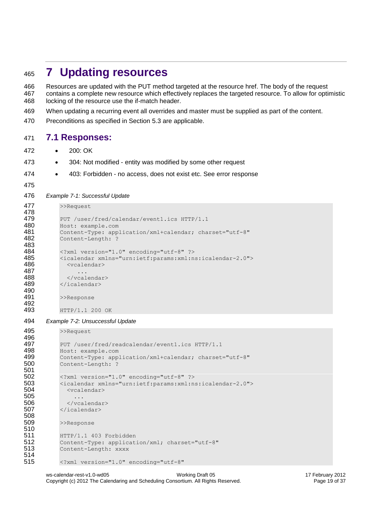# <span id="page-19-0"></span>**7 Updating resources**

 Resources are updated with the PUT method targeted at the resource href. The body of the request contains a complete new resource which effectively replaces the targeted resource. To allow for optimistic locking of the resource use the if-match header.

- When updating a recurring event all overrides and master must be supplied as part of the content.
- Preconditions as specified in Section [5.3](#page-16-3) are applicable.

### <span id="page-19-1"></span>**7.1 Responses:**

- 200: OK
- 473 304: Not modified entity was modified by some other request
- 403: Forbidden no access, does not exist etc. See error response
- 

```
476 Example 7-1: Successful Update
```

```
477 >>Request
478<br>479
479 PUT /user/fred/calendar/event1.ics HTTP/1.1<br>480 Host: example.com
480 Host: example.com<br>481 Content-Type: app.
           481 Content-Type: application/xml+calendar; charset="utf-8"
482 Content-Length: ?
483
484 <?xml version="1.0" encoding="utf-8" ?>
485 <icalendar xmlns="urn:ietf:params:xml:ns:icalendar-2.0">
             486 <vcalendar>
487 ...<br>488 ...
488 </vcalendar><br>489 </icalendar>
           489 </icalendar>
490
491 >>Response
492<br>493
```
- HTTP/1.1 200 OK
- *Example 7-2: Unsuccessful Update*

```
495 >>Request
```

```
496<br>497
497 PUT /user/fred/readcalendar/eventl.ics HTTP/1.1<br>498 Host: example.com
498 Host: example.com<br>499 Content-Type: app
499 Content-Type: application/xml+calendar; charset="utf-8"
            Content-Length: ?
501
502 <?xml version="1.0" encoding="utf-8" ?><br>503 <icalendar xmlns="urn:ietf:params:xml:n.
503 <icalendar xmlns="urn:ietf:params:xml:ns:icalendar-2.0"><br>504 <wcalendar>
              504 <vcalendar>
505<br>506
              506 </vcalendar>
507 </icalendar>
508
            >>Response
510
            HTTP/1.1 403 Forbidden
512 Content-Type: application/xml; charset="utf-8"
513 Content-Length: XXXX
514
515 <?xml version="1.0" encoding="utf-8"
```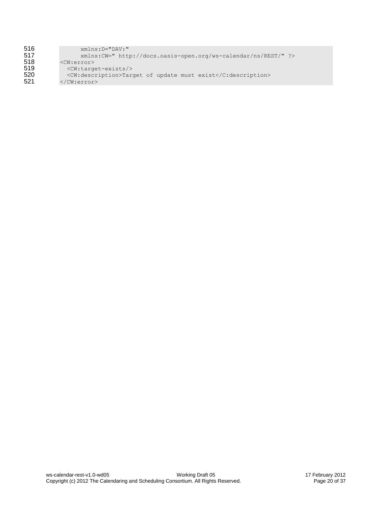| $xmlns:CW="http://docs.oasis-open.org/ws-calendar/ns/REST/" ?>$ |  |
|-----------------------------------------------------------------|--|
| $<$ CW:error $>$                                                |  |
| $<$ CW:target-exists/>                                          |  |
| <cw:description>Target of update must exist</cw:description>    |  |
|                                                                 |  |
|                                                                 |  |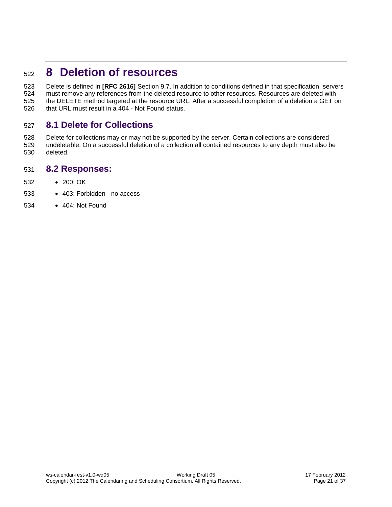# <span id="page-21-0"></span><sup>522</sup> **8 Deletion of resources**

523 Delete is defined in **[RFC 2616]** Section 9.7. In addition to conditions defined in that specification, servers 524 must remove any references from the deleted resource to other resources. Resources are deleted with 525 the DELETE method targeted at the resource URL. After a successful completion of a deletion a GET of the DELETE method targeted at the resource URL. After a successful completion of a deletion a GET on 526 that URL must result in a 404 - Not Found status.

## <span id="page-21-1"></span>527 **8.1 Delete for Collections**

528 Delete for collections may or may not be supported by the server. Certain collections are considered 529 undeletable. On a successful deletion of a collection all contained resources to any depth must also be 530 deleted.

### <span id="page-21-2"></span>531 **8.2 Responses:**

- 532 200: OK
- 533 · 403: Forbidden no access
- 534 404: Not Found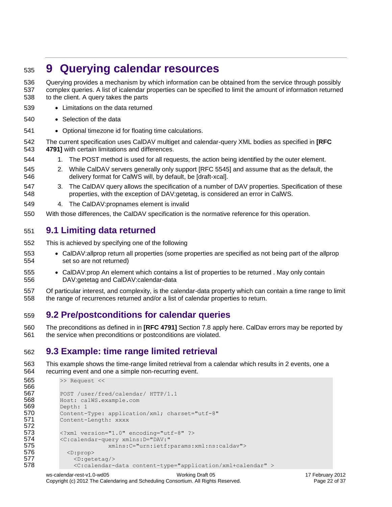# <span id="page-22-0"></span>**9 Querying calendar resources**

 Querying provides a mechanism by which information can be obtained from the service through possibly complex queries. A list of icalendar properties can be specified to limit the amount of information returned to the client. A query takes the parts

- Limitations on the data returned
- 540 Selection of the data
- Optional timezone id for floating time calculations.

 The current specification uses CalDAV multiget and calendar-query XML bodies as specified in **[RFC 4791]** with certain limitations and differences.

- 1. The POST method is used for all requests, the action being identified by the outer element.
- 2. While CalDAV servers generally only support [RFC 5545] and assume that as the default, the delivery format for CalWS will, by default, be [draft-xcal].
- 3. The CalDAV query allows the specification of a number of DAV properties. Specification of these properties, with the exception of DAV:getetag, is considered an error in CalWS.
- 4. The CalDAV:propnames element is invalid
- With those differences, the CalDAV specification is the normative reference for this operation.

## <span id="page-22-1"></span>**9.1 Limiting data returned**

- This is achieved by specifying one of the following
- CalDAV:allprop return all properties (some properties are specified as not being part of the allprop set so are not returned)
- CalDAV:prop An element which contains a list of properties to be returned . May only contain DAV:getetag and CalDAV:calendar-data
- Of particular interest, and complexity, is the calendar-data property which can contain a time range to limit the range of recurrences returned and/or a list of calendar properties to return.

## <span id="page-22-2"></span>**9.2 Pre/postconditions for calendar queries**

 The preconditions as defined in in **[RFC 4791]** Section 7.8 apply here. CalDav errors may be reported by the service when preconditions or postconditions are violated.

# <span id="page-22-3"></span>**9.3 Example: time range limited retrieval**

 This example shows the time-range limited retrieval from a calendar which results in 2 events, one a recurring event and one a simple non-recurring event.

```
565 >> Request <<
566
567 POST /user/fred/calendar/ HTTP/1.1
568 Host: calWS.example.com
569 Depth: 1
570 Content-Type: application/xml; charset="utf-8"<br>571 Content-Length: xxxx
           Content-Length: xxxx
572
           573 <?xml version="1.0" encoding="utf-8" ?>
574 <C:calendar-query xmlns:D="DAV:"
575 $\text{cm}:\text{C}=\text{turn}:i\text{eff}:p\text{arams}:m1:s:caldav">\$576 $\text{c}:\text{prop}>\$576 <D:prop>
577 <D:getetag/><br>578 <c:calendar-
                578 <C:calendar-data content-type="application/xml+calendar" >
```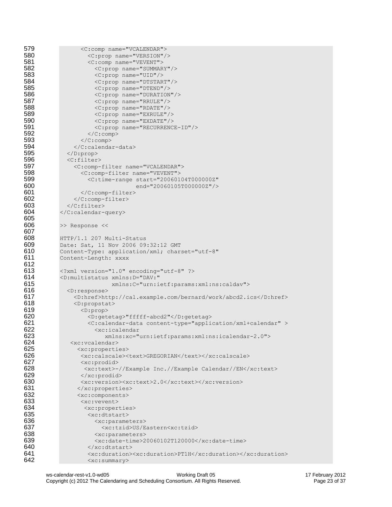```
579 <c:comp name="VCALENDAR">
580 < C:prop name="VERSION"/><br>581 < C:comp name="VEVENT">
                   581 <C:comp name="VEVENT">
582 <C:prop name="SUMMARY"/>
583 < C:prop name="UID"/><br>584 < C:prop name="DTSTAR
584 <C:prop name="DTSTART"/>
585 <c:prop name="DTEND"/><br>586 <c:prop name="DURATION
                     586 <C:prop name="DURATION"/>
587 <c:prop name="RRULE"/>
588 < C:prop name="RDATE"/><br>589 < C:prop name="EXRULE"/
589 <C:prop name="EXRULE"/>
590 <c:prop name="EXDATE"/><br>591 <c:prop name="RECURRENC
591 <c:prop name="RECURRENCE-ID"/><br>592 </c:comp>
592 </C:comp><br>593 </C:comp>
593 </C:comp><br>594 </C:calenda
               594 </C:calendar-data>
595 </D:prop><br>596 <c:filter
596 <c:filter><br>597 <c:comp-
597 < C:comp-filter name="VCALENDAR"><br>598 < C:comp-filter name="VEVENT">
598 <C:comp-filter name="VEVENT">
599 <C:time-range start="20060104T000000Z"
600 end="20060105T0000002"/><br>601 </C:comp-filter>
                 </C:comp-filter>
602 <br> \langle/C:comp-filter><br>603 <br> \langle/C:filter>
603 \langle/C:filter><br>604 \langle/C:calendar-
           </C:calendar-query>
605
           >> Response <<
607
608 HTTP/1.1 207 Multi-Status
609 Date: Sat, 11 Nov 2006 09:32:12 GMT
610 Content-Type: application/xml; charset="utf-8"<br>611 Content-Length: xxxx
           Content-Length: xxxx
612<br>613
           613 <?xml version="1.0" encoding="utf-8" ?>
614 <D:multistatus xmlns:D="DAV:"
615 xmlns:C="urn:ietf:params:xml:ns:caldav">
616 <D:response>
617 <D:href>http://cal.example.com/bernard/work/abcd2.ics</D:href><br>618 <D:propstat>
618 <D:propstat><br>619 <\text{D:}prop>
619 <D:prop>
                   620 <D:getetag>"fffff-abcd2"</D:getetag>
621 <C:calendar-data content-type="application/xml+calendar" >
622 <xc:icalendar<br>623 million million (xmlns:xc="
623 xmlns:xc="urn:ietf:params:xml:ns:icalendar-2.0">
624 <xc:vcalendar><br>625 <xc:properti
625 <xc:properties><br>626 <xc:calscale><
626 <calscale><text>GREGORIAN</text></xc:calscale></text></text>></text></text></text></text></text>
627 <xc:prodid>
                  628 <xc:text>-//Example Inc.//Example Calendar//EN</xc:text>
629 \langle x \text{c:product} \rangle<br>630 \langle x \text{c:version} \rangle630 <xc:version><xc:text>2.0</xc:text></xc:version>
631 </xc:properties>
632 <xc:components><br>633 <xc:vevent>
633 <xc:vevent>
634 <xc:properties>
                   < x \cdot dtstart>636 <xc:parameters>
637 <xc:tzid>US/Eastern<xc:tzid><br>
638 <xc:parameters>
                     638 <xc:parameters>
639 \langle xc:date-time&gt;20060102T120000\langle xc:date-<br>640640 </xc:dtstart><br>641 </xc:duration>
                   641 <xc:duration><xc:duration>PT1H</xc:duration></xc:duration>
642 <xc:summary>
```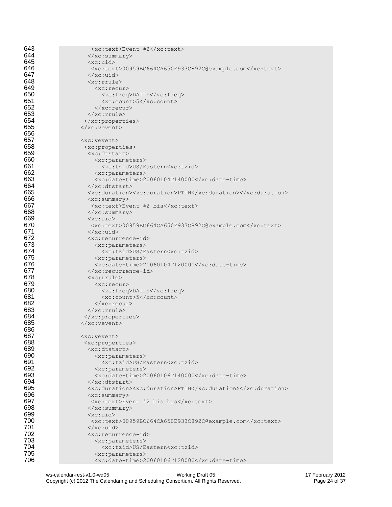| 643 | <xc:text>Event #2</xc:text>                                |
|-----|------------------------------------------------------------|
| 644 | $\langle xc:summary\rangle$                                |
| 645 | $<$ xc:uid>                                                |
| 646 | <xc:text>00959BC664CA650E933C892C@example.com</xc:text>    |
| 647 | $\langle x \rangle$ /xc:uid                                |
| 648 | <xc:rrule></xc:rrule>                                      |
| 649 | $<$ xc: recur>                                             |
| 650 | <xc:freq>DAILY</xc:freq>                                   |
| 651 | <xc:count>5</xc:count>                                     |
| 652 | $\langle$ /xc:recur>                                       |
| 653 | $\langle xc:rrule \rangle$                                 |
| 654 |                                                            |
| 655 | $\langle xc: \text{vector}\rangle$                         |
| 656 |                                                            |
| 657 | $<$ xc: vevent>                                            |
| 658 | <xc:properties></xc:properties>                            |
| 659 | <xc:dtstart></xc:dtstart>                                  |
| 660 | <xc:parameters></xc:parameters>                            |
| 661 | <xc:tzid>US/Eastern<xc:tzid></xc:tzid></xc:tzid>           |
| 662 | <xc:parameters></xc:parameters>                            |
| 663 | <xc:date-time>20060104T140000</xc:date-time>               |
| 664 | $\langle x \rangle$ xc: dtstart>                           |
| 665 | <xc:duration><xc:duration>PT1H</xc:duration></xc:duration> |
| 666 | $\langle xc:summary\rangle$                                |
| 667 | <xc:text>Event #2 bis</xc:text>                            |
| 668 | $\langle xc:summary\rangle$                                |
| 669 | $<$ xc:uid>                                                |
| 670 | <xc:text>00959BC664CA650E933C892C@example.com</xc:text>    |
| 671 | $\langle x \rangle$ /xc:uid>                               |
| 672 | $$                                                         |
| 673 | <xc:parameters></xc:parameters>                            |
| 674 | <xc:tzid>US/Eastern<xc:tzid></xc:tzid></xc:tzid>           |
| 675 | <xc:parameters></xc:parameters>                            |
| 676 | <xc:date-time>20060104T120000</xc:date-time>               |
| 677 |                                                            |
| 678 | $<$ xc:rrule>                                              |
| 679 | $<$ xc: recur>                                             |
| 680 | <xc:freq>DAILY</xc:freq>                                   |
| 681 | $\langle xc:count\rangle$ 5 $\langle xc:count\rangle$      |
| 682 | $\langle xc:recur\rangle$                                  |
| 683 | $\langle xc:rrule \rangle$                                 |
| 684 |                                                            |
| 685 | $\langle xc: \text{vector}\rangle$                         |
| 686 |                                                            |
| 687 | $<$ xc:vevent>                                             |
| 688 | <xc:properties></xc:properties>                            |
| 689 | <xc:dtstart></xc:dtstart>                                  |
| 690 | <xc:parameters></xc:parameters>                            |
| 691 | <xc:tzid>US/Eastern<xc:tzid></xc:tzid></xc:tzid>           |
| 692 | <xc:parameters></xc:parameters>                            |
| 693 | <xc:date-time>20060106T140000</xc:date-time>               |
| 694 | $\langle x \rangle$ /xc:dtstart>                           |
| 695 | <xc:duration><xc:duration>PT1H</xc:duration></xc:duration> |
| 696 | $\langle xc:summary\rangle$                                |
| 697 | <xc:text>Event #2 bis bis</xc:text>                        |
| 698 | $\langle xc:summary\rangle$                                |
| 699 | $<$ xc:uid>                                                |
| 700 | <xc:text>00959BC664CA650E933C892C@example.com</xc:text>    |
| 701 | $\langle x \rangle$ /xc:uid                                |
| 702 | <xc:recurrence-id></xc:recurrence-id>                      |
| 703 | <xc:parameters></xc:parameters>                            |
| 704 | <xc:tzid>US/Eastern<xc:tzid></xc:tzid></xc:tzid>           |
| 705 | <xc:parameters></xc:parameters>                            |
| 706 | <xc:date-time>20060106T120000</xc:date-time>               |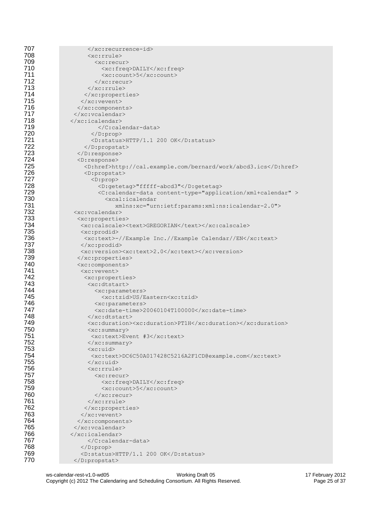| 707        |                                                                             |  |
|------------|-----------------------------------------------------------------------------|--|
| 708        | <xc:rrule></xc:rrule>                                                       |  |
| 709        | <xc:recur></xc:recur>                                                       |  |
| 710        | <xc:freq>DAILY</xc:freq>                                                    |  |
| 711        | <xc:count>5</xc:count>                                                      |  |
| 712        | $\langle xc:recur\rangle$                                                   |  |
| 713        | $\langle xc:rrule\rangle$                                                   |  |
| 714        |                                                                             |  |
| 715        | $\langle$ /xc:vevent>                                                       |  |
| 716        |                                                                             |  |
| 717        | $\langle xc:vcalendar\rangle$                                               |  |
| 718        | $\langle x$ c:icalendar>                                                    |  |
| 719        |                                                                             |  |
| 720        | $\langle$ /D:prop>                                                          |  |
| 721        | <d:status>HTTP/1.1 200 OK</d:status>                                        |  |
| 722        |                                                                             |  |
| 723        | $\langle$ D:response>                                                       |  |
| 724        | $\langle D:$ response>                                                      |  |
| 725        | <d:href>http://cal.example.com/bernard/work/abcd3.ics</d:href>              |  |
| 726        | <d:propstat></d:propstat>                                                   |  |
| 727        | <d:prop></d:prop>                                                           |  |
| 728        | <d:getetag>"fffff-abcd3"</d:getetag>                                        |  |
| 729        | <c:calendar-data content-type="application/xml+calendar"></c:calendar-data> |  |
| 730        | <xcal:icalendar< th=""></xcal:icalendar<>                                   |  |
| 731        | xmlns:xc="urn:ietf:params:xml:ns:icalendar-2.0">                            |  |
| 732        | <xc:vcalendar></xc:vcalendar>                                               |  |
| 733        | <xc:properties></xc:properties>                                             |  |
| 734        | <xc:calscale><text>GREGORIAN</text></xc:calscale>                           |  |
| 735        | $<$ xc:prodid>                                                              |  |
| 736        | <xc:text>-//Example Inc.//Example Calendar//EN</xc:text>                    |  |
| 737        |                                                                             |  |
| 738        | <xc:version><xc:text>2.0</xc:text></xc:version>                             |  |
| 739        |                                                                             |  |
| 740        | <xc:components></xc:components>                                             |  |
| 741        | <xc:vevent></xc:vevent>                                                     |  |
| 742        | <xc:properties></xc:properties>                                             |  |
| 743        | $<$ xc:dtstart>                                                             |  |
| 744        | <xc:parameters></xc:parameters>                                             |  |
| 745        | <xc:tzid>US/Eastern<xc:tzid></xc:tzid></xc:tzid>                            |  |
| 746        | <xc:parameters></xc:parameters>                                             |  |
| 747        | <xc:date-time>20060104T100000</xc:date-time>                                |  |
| 748        |                                                                             |  |
| 749        | <xc:duration><xc:duration>PT1H</xc:duration></xc:duration>                  |  |
| 750        | $\langle xc:summary\rangle$                                                 |  |
| 751        | <xc:text>Event #3</xc:text>                                                 |  |
| 752        | $\langle xc:summary\rangle$                                                 |  |
| 753        | <xc:uid></xc:uid>                                                           |  |
| 754        | <xc:text>DC6C50A017428C5216A2F1CD@example.com</xc:text>                     |  |
| 755        | $\langle x \rangle$ /xc:uid                                                 |  |
| 756        | <xc:rrule></xc:rrule>                                                       |  |
| 757        | <xc:recur></xc:recur>                                                       |  |
| 758        | <xc:freq>DAILY</xc:freq>                                                    |  |
| 759        | <xc:count>5</xc:count>                                                      |  |
| 760        | $\langle xc:recur\rangle$                                                   |  |
| 761<br>762 | $\langle x$ c: rrule>                                                       |  |
|            |                                                                             |  |
| 763<br>764 |                                                                             |  |
| 765        |                                                                             |  |
|            |                                                                             |  |
| 766        | $\langle x$ c:icalendar>                                                    |  |
| 767        | $\langle$ /C:calendar-data>                                                 |  |
| 768<br>769 | $\langle$ D:prop>                                                           |  |
| 770        | <d:status>HTTP/1.1 200 OK</d:status>                                        |  |
|            | $\langle$ D:propstat>                                                       |  |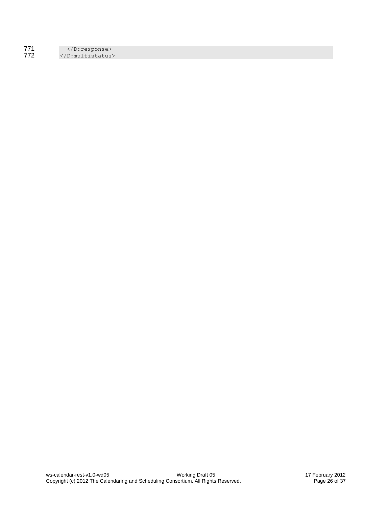| 771 | $\langle$ D: response>   |
|-----|--------------------------|
| 772 | $\langle$ D:multistatus> |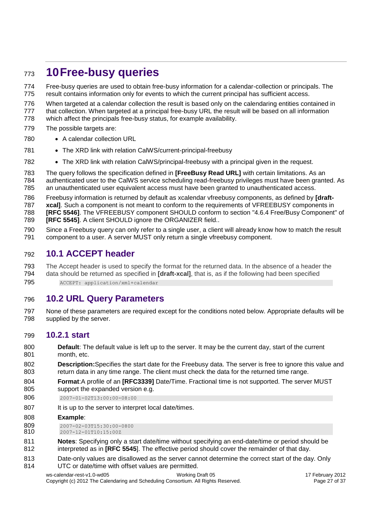# <span id="page-27-0"></span>**10Free-busy queries**

 Free-busy queries are used to obtain free-busy information for a calendar-collection or principals. The result contains information only for events to which the current principal has sufficient access.

 When targeted at a calendar collection the result is based only on the calendaring entities contained in that collection. When targeted at a principal free-busy URL the result will be based on all information

which affect the principals free-busy status, for example availability.

- 779 The possible targets are:
- 780 A calendar collection URL
- 781 The XRD link with relation CalWS/current-principal-freebusy
- 782 The XRD link with relation CalWS/principal-freebusy with a principal given in the request.
- The query follows the specification defined in **[FreeBusy Read URL]** with certain limitations. As an

 authenticated user to the CalWS service scheduling read-freebusy privileges must have been granted. As an unauthenticated user equivalent access must have been granted to unauthenticated access.

Freebusy information is returned by default as xcalendar vfreebusy components, as defined by **[draft-**

**787 <b>xcal**]. Such a component is not meant to conform to the requirements of VFREEBUSY components in

**[RFC 5546]**. The VFREEBUSY component SHOULD conform to section "4.6.4 Free/Busy Component" of

**[RFC 5545]**. A client SHOULD ignore the ORGANIZER field..

 Since a Freebusy query can only refer to a single user, a client will already know how to match the result component to a user. A server MUST only return a single vfreebusy component.

### <span id="page-27-1"></span>**10.1 ACCEPT header**

The Accept header is used to specify the format for the returned data. In the absence of a header the

 data should be returned as specified in **[draft-xcal]**, that is, as if the following had been specified ACCEPT: application/xml+calendar

## <span id="page-27-2"></span>**10.2 URL Query Parameters**

 None of these parameters are required except for the conditions noted below. Appropriate defaults will be supplied by the server.

### <span id="page-27-3"></span>**10.2.1 start**

- **Default**: The default value is left up to the server. It may be the current day, start of the current month, etc.
- **Description:**Specifies the start date for the Freebusy data. The server is free to ignore this value and return data in any time range. The client must check the data for the returned time range.
- **Format**:A profile of an **[RFC3339]** Date/Time. Fractional time is not supported. The server MUST support the expanded version e.g.
- 2007-01-02T13:00:00-08:00
- 807 It is up to the server to interpret local date/times.

#### **Example**:

809 2007-02-03T15:30:00-0800<br>810 2007-12-01T10:15:00Z 2007-12-01T10:15:00Z

- **Notes**: Specifying only a start date/time without specifying an end-date/time or period should be interpreted as in **[RFC 5545**]. The effective period should cover the remainder of that day.
- Date-only values are disallowed as the server cannot determine the correct start of the day. Only UTC or date/time with offset values are permitted.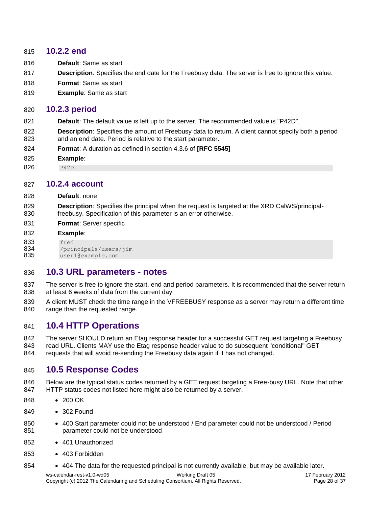#### <span id="page-28-0"></span>**10.2.2 end**

- **Default**: Same as start
- **Description**: Specifies the end date for the Freebusy data. The server is free to ignore this value.
- **Format**: Same as start
- **Example**: Same as start

#### <span id="page-28-1"></span>**10.2.3 period**

- **Default**: The default value is left up to the server. The recommended value is "P42D".
- **Description**: Specifies the amount of Freebusy data to return. A client cannot specify both a period and an end date. Period is relative to the start parameter.
- **Format**: A duration as defined in section 4.3.6 of **[RFC 5545]**
- **Example**:
- <span id="page-28-2"></span>P42D

#### **10.2.4 account**

- **Default**: none
- **Description**: Specifies the principal when the request is targeted at the XRD CalWS/principal-freebusy. Specification of this parameter is an error otherwise.
- **Format**: Server specific

#### **Example**:

- **833** fred<br>**834** /prii
- /principals/users/jim
- <span id="page-28-3"></span>user1@example.com

### **10.3 URL parameters - notes**

- 837 The server is free to ignore the start, end and period parameters. It is recommended that the server return at least 6 weeks of data from the current day.
- A client MUST check the time range in the VFREEBUSY response as a server may return a different time 840 range than the requested range.

### <span id="page-28-4"></span>**10.4 HTTP Operations**

 The server SHOULD return an Etag response header for a successful GET request targeting a Freebusy 843 read URL. Clients MAY use the Etag response header value to do subsequent "conditional" GET requests that will avoid re-sending the Freebusy data again if it has not changed.

### <span id="page-28-5"></span>**10.5 Response Codes**

- 846 Below are the typical status codes returned by a GET request targeting a Free-busy URL. Note that other 847 HTTP status codes not listed here might also be returned by a server.
- 848 200 OK
- 849 302 Found
- 850 400 Start parameter could not be understood / End parameter could not be understood / Period parameter could not be understood
- 852 401 Unauthorized
- 853 · 403 Forbidden
- **•** 404 The data for the requested principal is not currently available, but may be available later.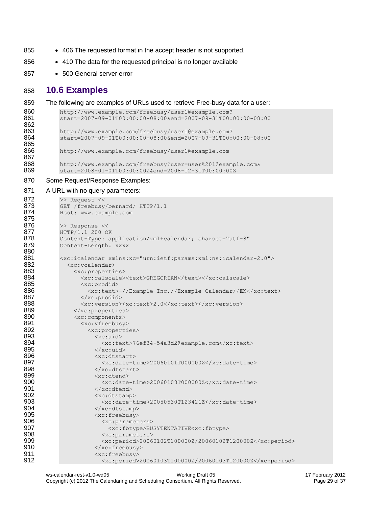- 855 406 The requested format in the accept header is not supported.
- 856 410 The data for the requested principal is no longer available
- 857 500 General server error

### <span id="page-29-0"></span>858 **10.6 Examples**

859 The following are examples of URLs used to retrieve Free-busy data for a user:

```
860 http://www.example.com/freebusy/user1@example.com?
861 start=2007-09-01T00:00:00-08:00&end=2007-09-31T00:00:00-08:00
862
863 http://www.example.com/freebusy/user1@example.com?<br>864 start=2007-09-01T00:00:00-08:00&end=2007-09-31T00:
            864 start=2007-09-01T00:00:00-08:00&end=2007-09-31T00:00:00-08:00
865<br>866
            866 http://www.example.com/freebusy/user1@example.com
867
```
868 http://www.example.com/freebusy?user=user%201@example.com&<br>869 start=2008-01-01T00:00:00Z&end=2008-12-31T00:00:00Z 869 start=2008-01-01T00:00:00Z&end=2008-12-31T00:00:00Z

#### 870 Some Request/Response Examples:

#### 871 A URL with no query parameters:

| 872 | >> Request <<                                                                 |  |  |
|-----|-------------------------------------------------------------------------------|--|--|
| 873 | GET /freebusy/bernard/ HTTP/1.1                                               |  |  |
| 874 | Host: www.example.com                                                         |  |  |
| 875 |                                                                               |  |  |
| 876 | >> Response <<                                                                |  |  |
| 877 | HTTP/1.1 200 OK                                                               |  |  |
| 878 | Content-Type: application/xml+calendar; charset="utf-8"                       |  |  |
| 879 | Content-Length: XXXX                                                          |  |  |
| 880 |                                                                               |  |  |
| 881 | <xc:icalendar xmlns:xc="urn:ietf:params:xml:ns:icalendar-2.0"></xc:icalendar> |  |  |
| 882 | <xc:vcalendar></xc:vcalendar>                                                 |  |  |
| 883 | <xc:properties></xc:properties>                                               |  |  |
| 884 | <xc:calscale><text>GREGORIAN</text></xc:calscale>                             |  |  |
| 885 | <xc:prodid></xc:prodid>                                                       |  |  |
| 886 | <xc:text>-//Example Inc.//Example Calendar//EN</xc:text>                      |  |  |
| 887 |                                                                               |  |  |
| 888 | <xc:version><xc:text>2.0</xc:text></xc:version>                               |  |  |
| 889 |                                                                               |  |  |
| 890 | <xc:components></xc:components>                                               |  |  |
| 891 | <xc:vfreebusy></xc:vfreebusy>                                                 |  |  |
| 892 | <xc:properties></xc:properties>                                               |  |  |
| 893 | $<$ xc:uid>                                                                   |  |  |
| 894 | <xc:text>76ef34-54a3d2@example.com</xc:text>                                  |  |  |
| 895 | $\langle x \rangle$ /xc:uid>                                                  |  |  |
| 896 | $<$ xc:dtstart>                                                               |  |  |
| 897 | $\langle xc:date-time>20060101T0000002\langle xc:date-time\rangle$            |  |  |
| 898 | $\langle x \rangle$ /xc:dtstart>                                              |  |  |
| 899 | $\langle xc:dt$ end $\rangle$                                                 |  |  |
| 900 | <xc:date-time>20060108T000000Z</xc:date-time>                                 |  |  |
| 901 | $\langle x \rangle$ /xc: dtend>                                               |  |  |
| 902 | <xc:dtstamp></xc:dtstamp>                                                     |  |  |
| 903 | <xc:date-time>20050530T123421Z</xc:date-time>                                 |  |  |
| 904 | $\langle x \rangle$ /xc: dtstamp>                                             |  |  |
| 905 | <xc:freebusy></xc:freebusy>                                                   |  |  |
| 906 | <xc:parameters></xc:parameters>                                               |  |  |
| 907 | <xc:fbtype>BUSYTENTATIVE<xc:fbtype></xc:fbtype></xc:fbtype>                   |  |  |
| 908 | <xc:parameters></xc:parameters>                                               |  |  |
| 909 | <xc:period>20060102T100000Z/20060102T120000Z</xc:period>                      |  |  |
| 910 | $\langle$ /xc:freebusy>                                                       |  |  |
| 911 | <xc:freebusy></xc:freebusy>                                                   |  |  |
| 912 | <xc:period>20060103T100000Z/20060103T120000Z</xc:period>                      |  |  |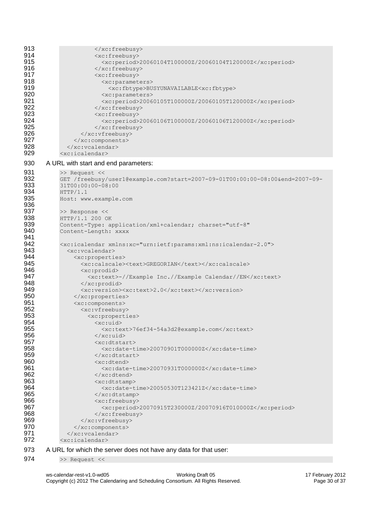| 913 | $\langle xc:freebusy\rangle$                                                            |
|-----|-----------------------------------------------------------------------------------------|
| 914 | <xc:freebusy></xc:freebusy>                                                             |
| 915 | <xc:period>20060104T100000Z/20060104T120000Z</xc:period>                                |
| 916 | $\langle$ /xc:freebusy>                                                                 |
| 917 | <xc:freebusy></xc:freebusy>                                                             |
| 918 | <xc:parameters></xc:parameters>                                                         |
| 919 | <xc:fbtype>BUSYUNAVAILABLE<xc:fbtype></xc:fbtype></xc:fbtype>                           |
| 920 |                                                                                         |
|     | <xc:parameters></xc:parameters>                                                         |
| 921 | <xc:period>20060105T100000Z/20060105T120000Z</xc:period>                                |
| 922 |                                                                                         |
| 923 | <xc:freebusy></xc:freebusy>                                                             |
| 924 | $\langle xc:period \rangle 20060106T100000Z/20060106T120000Z \langle xc:period \rangle$ |
| 925 |                                                                                         |
| 926 |                                                                                         |
| 927 |                                                                                         |
| 928 |                                                                                         |
| 929 | $\langle xc:icalendar\rangle$                                                           |
|     |                                                                                         |
| 930 | A URL with start and end parameters:                                                    |
| 931 | >> Request <<                                                                           |
| 932 | GET /freebusy/user1@example.com?start=2007-09-01T00:00:00-08:00&end=2007-09-            |
| 933 | 31T00:00:00-08:00                                                                       |
| 934 | HTTP/1.1                                                                                |
| 935 | Host: www.example.com                                                                   |
| 936 |                                                                                         |
| 937 | >> Response <<                                                                          |
| 938 | HTTP/1.1 200 OK                                                                         |
| 939 |                                                                                         |
| 940 | Content-Type: application/xml+calendar; charset="utf-8"                                 |
|     | Content-Length: XXXX                                                                    |
| 941 |                                                                                         |
| 942 | <xc:icalendar xmlns:xc="urn:ietf:params:xml:ns:icalendar-2.0"></xc:icalendar>           |
| 943 | <xc:vcalendar></xc:vcalendar>                                                           |
| 944 | <xc:properties></xc:properties>                                                         |
| 945 | <xc:calscale><text>GREGORIAN</text></xc:calscale>                                       |
| 946 | $<$ xc:prodid>                                                                          |
| 947 | <xc:text>-//Example Inc.//Example Calendar//EN</xc:text>                                |
| 948 |                                                                                         |
| 949 | <xc:version><xc:text>2.0</xc:text></xc:version>                                         |
| 950 |                                                                                         |
| 951 | <xc:components></xc:components>                                                         |
| 952 | <xc:vfreebusy></xc:vfreebusy>                                                           |
| 953 | <xc:properties></xc:properties>                                                         |
| 954 |                                                                                         |
| 955 | $<$ xc:uid>                                                                             |
|     | <xc:text>76ef34-54a3d2@example.com</xc:text>                                            |
| 956 | $\langle x \rangle$ xc:uid>                                                             |
| 957 | <xc:dtstart></xc:dtstart>                                                               |
| 958 | $\langle xc:date-time>20070901T000000Z < \rangle xc:date-time>$                         |
| 959 | $\langle x \rangle$ xc: dtstart>                                                        |
| 960 | <xc:dtend></xc:dtend>                                                                   |
| 961 | <xc:date-time>20070931T000000Z</xc:date-time>                                           |
| 962 | $\langle xc:dt$ end $\rangle$                                                           |
| 963 | <xc:dtstamp></xc:dtstamp>                                                               |
| 964 | <xc:date-time>20050530T123421Z</xc:date-time>                                           |
| 965 |                                                                                         |
| 966 | <xc:freebusy></xc:freebusy>                                                             |
| 967 |                                                                                         |
|     | <xc:period>20070915T230000Z/20070916T010000Z</xc:period>                                |
| 968 |                                                                                         |
| 969 |                                                                                         |
| 970 |                                                                                         |
| 971 |                                                                                         |
| 972 | <xc:icalendar></xc:icalendar>                                                           |
| 973 | A LIRL for which the server does not have any data for that user                        |

973 A URL for which the server does not have any data for that user: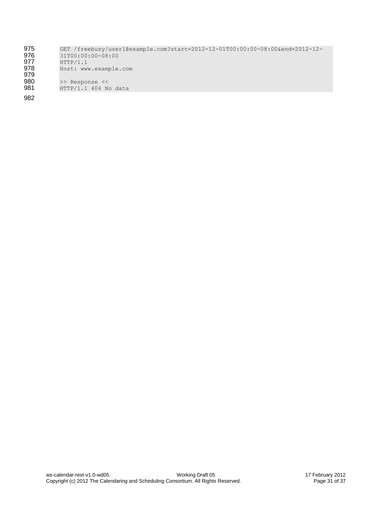| 975 | GET /freebusy/user1@example.com?start=2012-12-01T00:00:00-08:00&end=2012-12- |
|-----|------------------------------------------------------------------------------|
| 976 | 31T00:00:00-08:00                                                            |
| 977 | HTTP/1.1                                                                     |
| 978 | Host: www.example.com                                                        |
| 979 |                                                                              |
| 980 | >> Response <<                                                               |
| 981 | HTTP/1.1 404 No data                                                         |
|     |                                                                              |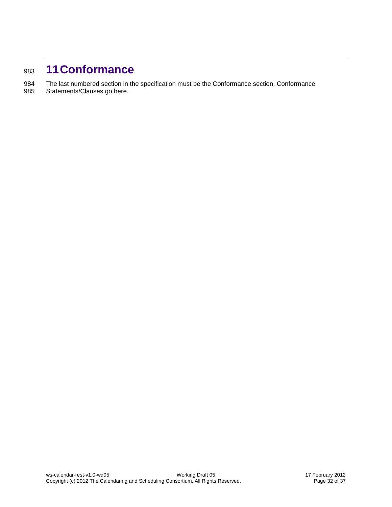# <span id="page-32-0"></span><sup>983</sup> **11Conformance**

- 984 The last numbered section in the specification must be the Conformance section. Conformance
- 985 Statements/Clauses go here.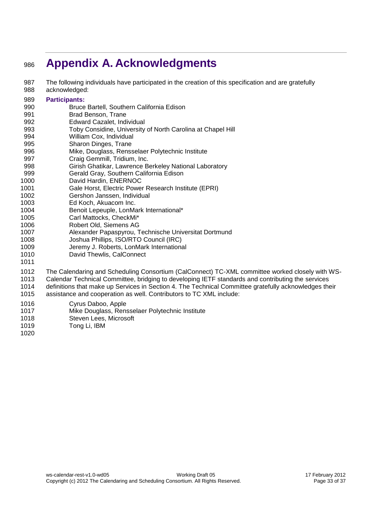# <span id="page-33-0"></span>**Appendix A. Acknowledgments**

- The following individuals have participated in the creation of this specification and are gratefully acknowledged:
- **Participants:**
- Bruce Bartell, Southern California Edison
- Brad Benson, Trane
- Edward Cazalet, Individual
- Toby Considine, University of North Carolina at Chapel Hill
- William Cox, Individual
- Sharon Dinges, Trane
- Mike, Douglass, Rensselaer Polytechnic Institute
- Craig Gemmill, Tridium, Inc.
- Girish Ghatikar, Lawrence Berkeley National Laboratory
- Gerald Gray, Southern California Edison
- David Hardin, ENERNOC
- Gale Horst, Electric Power Research Institute (EPRI)
- Gershon Janssen, Individual
- Ed Koch, Akuacom Inc.
- Benoit Lepeuple, LonMark International\*
- Carl Mattocks, CheckMi\*
- Robert Old, Siemens AG
- Alexander Papaspyrou, Technische Universitat Dortmund
- Joshua Phillips, ISO/RTO Council (IRC)
- Jeremy J. Roberts, LonMark International
- David Thewlis, CalConnect
- The Calendaring and Scheduling Consortium (CalConnect) TC-XML committee worked closely with WS-
- Calendar Technical Committee, bridging to developing IETF standards and contributing the services
- definitions that make up Services in Section 4. The Technical Committee gratefully acknowledges their assistance and cooperation as well. Contributors to TC XML include:
- 
- Cyrus Daboo, Apple
- Mike Douglass, Rensselaer Polytechnic Institute
- Steven Lees, Microsoft
- Tong Li, IBM
-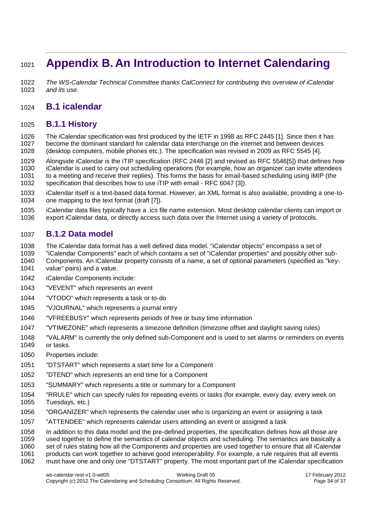# <span id="page-34-0"></span>**Appendix B. An Introduction to Internet Calendaring**

 *The WS-Calendar Technical Committee thanks CalConnect for contributing this overview of iCalendar and its use.*

## <span id="page-34-1"></span>**B.1 icalendar**

### <span id="page-34-2"></span>**B.1.1 History**

 The iCalendar specification was first produced by the IETF in 1998 as RFC 2445 [1]. Since then it has become the dominant standard for calendar data interchange on the internet and between devices (desktop computers, mobile phones etc.). The specification was revised in 2009 as RFC 5545 [4].

Alongside iCalendar is the iTIP specification (RFC 2446 [2] and revised as RFC 5546[5]) that defines how

iCalendar is used to carry out scheduling operations (for example, how an organizer can invite attendees

to a meeting and receive their replies). This forms the basis for email-based scheduling using iMIP (the

specification that describes how to use iTIP with email - RFC 6047 [3]).

1033 iCalendar itself is a text-based data format. However, an XML format is also available, providing a one-to-<br>1034 one mapping to the text format (draft [7]). one mapping to the text format (draft [7]).

 iCalendar data files typically have a .ics file name extension. Most desktop calendar clients can import or export iCalendar data, or directly access such data over the Internet using a variety of protocols.

<span id="page-34-3"></span>

### **B.1.2 Data model**

The iCalendar data format has a well defined data model. "iCalendar objects" encompass a set of

"iCalendar Components" each of which contains a set of "iCalendar properties" and possibly other sub-

 Components. An iCalendar property consists of a name, a set of optional parameters (specified as "key-value" pairs) and a value.

- iCalendar Components include:
- "VEVENT" which represents an event
- "VTODO" which represents a task or to-do
- "VJOURNAL" which represents a journal entry
- "VFREEBUSY" which represents periods of free or busy time information
- "VTIMEZONE" which represents a timezone definition (timezone offset and daylight saving rules)
- "VALARM" is currently the only defined sub-Component and is used to set alarms or reminders on events or tasks.
- Properties include:
- "DTSTART" which represents a start time for a Component
- "DTEND" which represents an end time for a Component
- "SUMMARY" which represents a title or summary for a Component
- "RRULE" which can specify rules for repeating events or tasks (for example, every day, every week on Tuesdays, etc.)
- "ORGANIZER" which represents the calendar user who is organizing an event or assigning a task
- "ATTENDEE" which represents calendar users attending an event or assigned a task

 In addition to this data model and the pre-defined properties, the specification defines how all those are used together to define the semantics of calendar objects and scheduling. The semantics are basically a 1060 set of rules stating how all the Components and properties are used together to ensure that all iCalendar<br>1061 U products can work together to achieve good interoperability. For example, a rule requires that all ev products can work together to achieve good interoperability. For example, a rule requires that all events

must have one and only one "DTSTART" property. The most important part of the iCalendar specification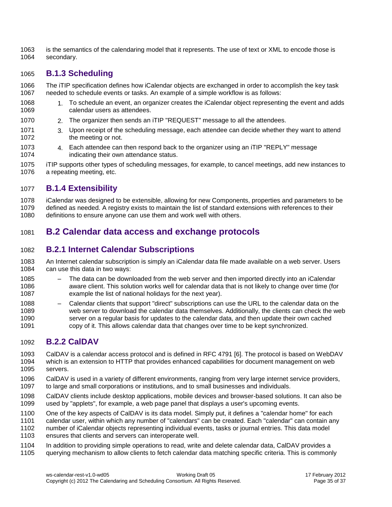is the semantics of the calendaring model that it represents. The use of text or XML to encode those is secondary.

### <span id="page-35-0"></span>**B.1.3 Scheduling**

- The iTIP specification defines how iCalendar objects are exchanged in order to accomplish the key task needed to schedule events or tasks. An example of a simple workflow is as follows:
- 1068 1. To schedule an event, an organizer creates the iCalendar object representing the event and adds calendar users as attendees. calendar users as attendees.
- 2. The organizer then sends an iTIP "REQUEST" message to all the attendees.
- 1071 3. Upon receipt of the scheduling message, each attendee can decide whether they want to attend<br>1072 the meeting or not. the meeting or not.
- 1073 4. Each attendee can then respond back to the organizer using an iTIP "REPLY" message<br>1074 hindicating their own attendance status. indicating their own attendance status.
- iTIP supports other types of scheduling messages, for example, to cancel meetings, add new instances to a repeating meeting, etc.

## <span id="page-35-1"></span>**B.1.4 Extensibility**

 iCalendar was designed to be extensible, allowing for new Components, properties and parameters to be 1079 defined as needed. A registry exists to maintain the list of standard extensions with references to their<br>1080 definitions to ensure anyone can use them and work well with others. definitions to ensure anyone can use them and work well with others.

## <span id="page-35-2"></span>**B.2 Calendar data access and exchange protocols**

### <span id="page-35-3"></span>**B.2.1 Internet Calendar Subscriptions**

- An Internet calendar subscription is simply an iCalendar data file made available on a web server. Users can use this data in two ways:
- The data can be downloaded from the web server and then imported directly into an iCalendar aware client. This solution works well for calendar data that is not likely to change over time (for example the list of national holidays for the next year).
- Calendar clients that support "direct" subscriptions can use the URL to the calendar data on the web server to download the calendar data themselves. Additionally, the clients can check the web server on a regular basis for updates to the calendar data, and then update their own cached copy of it. This allows calendar data that changes over time to be kept synchronized.

### <span id="page-35-4"></span>**B.2.2 CalDAV**

- CalDAV is a calendar access protocol and is defined in RFC 4791 [6]. The protocol is based on WebDAV which is an extension to HTTP that provides enhanced capabilities for document management on web servers.
- CalDAV is used in a variety of different environments, ranging from very large internet service providers, to large and small corporations or institutions, and to small businesses and individuals.
- CalDAV clients include desktop applications, mobile devices and browser-based solutions. It can also be used by "applets", for example, a web page panel that displays a user's upcoming events.
- One of the key aspects of CalDAV is its data model. Simply put, it defines a "calendar home" for each
- calendar user, within which any number of "calendars" can be created. Each "calendar" can contain any
- number of iCalendar objects representing individual events, tasks or journal entries. This data model
- ensures that clients and servers can interoperate well.
- In addition to providing simple operations to read, write and delete calendar data, CalDAV provides a querying mechanism to allow clients to fetch calendar data matching specific criteria. This is commonly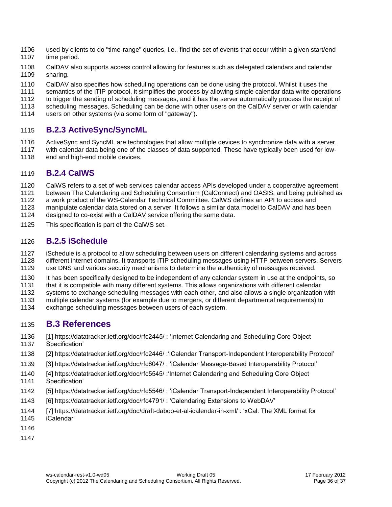- used by clients to do "time-range" queries, i.e., find the set of events that occur within a given start/end time period.
- CalDAV also supports access control allowing for features such as delegated calendars and calendar sharing.
- CalDAV also specifies how scheduling operations can be done using the protocol. Whilst it uses the
- 
- 1111 semantics of the iTIP protocol, it simplifies the process by allowing simple calendar data write operations<br>1112 to trigger the sending of scheduling messages, and it has the server automatically process the receipt o to trigger the sending of scheduling messages, and it has the server automatically process the receipt of
- scheduling messages. Scheduling can be done with other users on the CalDAV server or with calendar
- users on other systems (via some form of "gateway").

## <span id="page-36-0"></span>**B.2.3 ActiveSync/SyncML**

- ActiveSync and SyncML are technologies that allow multiple devices to synchronize data with a server,
- with calendar data being one of the classes of data supported. These have typically been used for low-1118 end and high-end mobile devices.

### <span id="page-36-1"></span>**B.2.4 CalWS**

- CalWS refers to a set of web services calendar access APIs developed under a cooperative agreement
- between The Calendaring and Scheduling Consortium (CalConnect) and OASIS, and being published as
- a work product of the WS-Calendar Technical Committee. CalWS defines an API to access and
- manipulate calendar data stored on a server. It follows a similar data model to CalDAV and has been
- designed to co-exist with a CalDAV service offering the same data.
- This specification is part of the CalWS set.

## <span id="page-36-2"></span>**B.2.5 iSchedule**

- iSchedule is a protocol to allow scheduling between users on different calendaring systems and across
- different internet domains. It transports iTIP scheduling messages using HTTP between servers. Servers
- use DNS and various security mechanisms to determine the authenticity of messages received.
- It has been specifically designed to be independent of any calendar system in use at the endpoints, so
- that it is compatible with many different systems. This allows organizations with different calendar
- systems to exchange scheduling messages with each other, and also allows a single organization with
- multiple calendar systems (for example due to mergers, or different departmental requirements) to
- exchange scheduling messages between users of each system.

# <span id="page-36-3"></span>**B.3 References**

- [1] https://datatracker.ietf.org/doc/rfc2445/ : 'Internet Calendaring and Scheduling Core Object
- Specification'
- [2] https://datatracker.ietf.org/doc/rfc2446/ :'iCalendar Transport-Independent Interoperability Protocol'
- [3] https://datatracker.ietf.org/doc/rfc6047/ : 'iCalendar Message-Based Interoperability Protocol'
- [4] https://datatracker.ietf.org/doc/rfc5545/ :'Internet Calendaring and Scheduling Core Object
- Specification'
- [5] https://datatracker.ietf.org/doc/rfc5546/ : 'iCalendar Transport-Independent Interoperability Protocol'
- [6] https://datatracker.ietf.org/doc/rfc4791/ : 'Calendaring Extensions to WebDAV'
- [7] https://datatracker.ietf.org/doc/draft-daboo-et-al-icalendar-in-xml/ : 'xCal: The XML format for iCalendar'
- 
- 
-